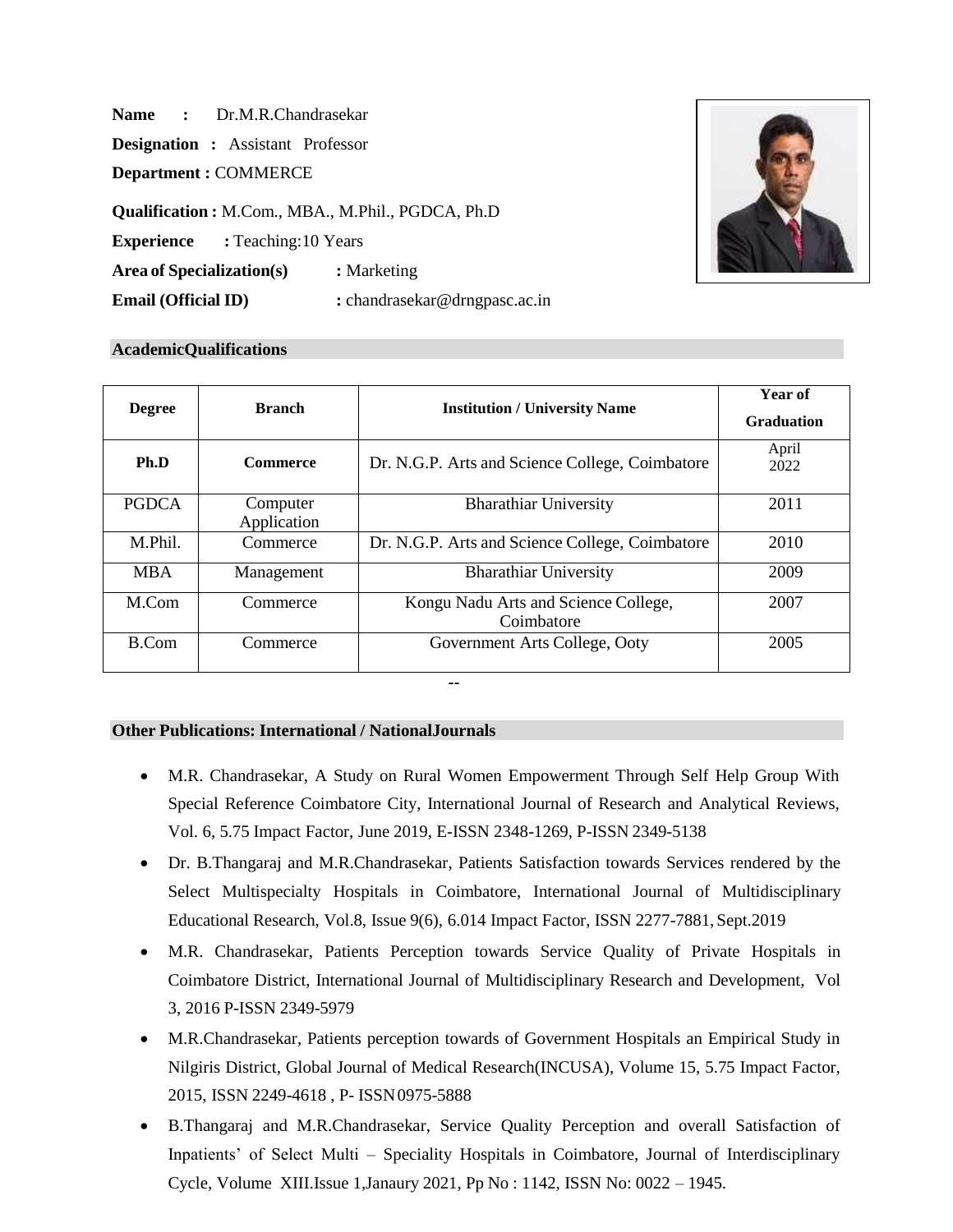**Name :** Dr.M.R.Chandrasekar

**Designation :** Assistant Professor

**Department :** COMMERCE

**Qualification :** M.Com., MBA., M.Phil., PGDCA, Ph.D

**Experience :** Teaching:10 Years

**Area of Specialization(s) :** Marketing

**Email (Official ID) :** [chandrasekar@drngpasc.ac.in](mailto:chandrasekar@drngpasc.ac.in)



## **AcademicQualifications**

| <b>Degree</b> | <b>Branch</b>           | <b>Institution / University Name</b>               | Year of<br><b>Graduation</b> |
|---------------|-------------------------|----------------------------------------------------|------------------------------|
| Ph.D          | <b>Commerce</b>         | Dr. N.G.P. Arts and Science College, Coimbatore    | April<br>2022                |
| <b>PGDCA</b>  | Computer<br>Application | <b>Bharathiar University</b>                       | 2011                         |
| M.Phil.       | Commerce                | Dr. N.G.P. Arts and Science College, Coimbatore    | 2010                         |
| <b>MBA</b>    | Management              | <b>Bharathiar University</b>                       | 2009                         |
| M.Com         | Commerce                | Kongu Nadu Arts and Science College,<br>Coimbatore | 2007                         |
| B.Com         | Commerce                | Government Arts College, Ooty                      | 2005                         |
|               |                         |                                                    |                              |

## **Other Publications: International / NationalJournals**

- M.R. Chandrasekar, A Study on Rural Women Empowerment Through Self Help Group With Special Reference Coimbatore City, International Journal of Research and Analytical Reviews, Vol. 6, 5.75 Impact Factor, June 2019, E-ISSN 2348-1269, P-ISSN 2349-5138
- Dr. B.Thangaraj and M.R.Chandrasekar, Patients Satisfaction towards Services rendered by the Select Multispecialty Hospitals in Coimbatore, International Journal of Multidisciplinary Educational Research, Vol.8, Issue 9(6), 6.014 Impact Factor, ISSN 2277-7881, Sept.2019
- M.R. Chandrasekar, Patients Perception towards Service Quality of Private Hospitals in Coimbatore District, International Journal of Multidisciplinary Research and Development, Vol 3, 2016 P-ISSN 2349-5979
- M.R.Chandrasekar, Patients perception towards of Government Hospitals an Empirical Study in Nilgiris District, Global Journal of Medical Research(INCUSA), Volume 15, 5.75 Impact Factor, 2015, ISSN 2249-4618 , P- ISSN0975-5888
- B.Thangaraj and M.R.Chandrasekar, Service Quality Perception and overall Satisfaction of Inpatients' of Select Multi – Speciality Hospitals in Coimbatore, Journal of Interdisciplinary Cycle, Volume XIII.Issue 1,Janaury 2021, Pp No : 1142, ISSN No: 0022 – 1945.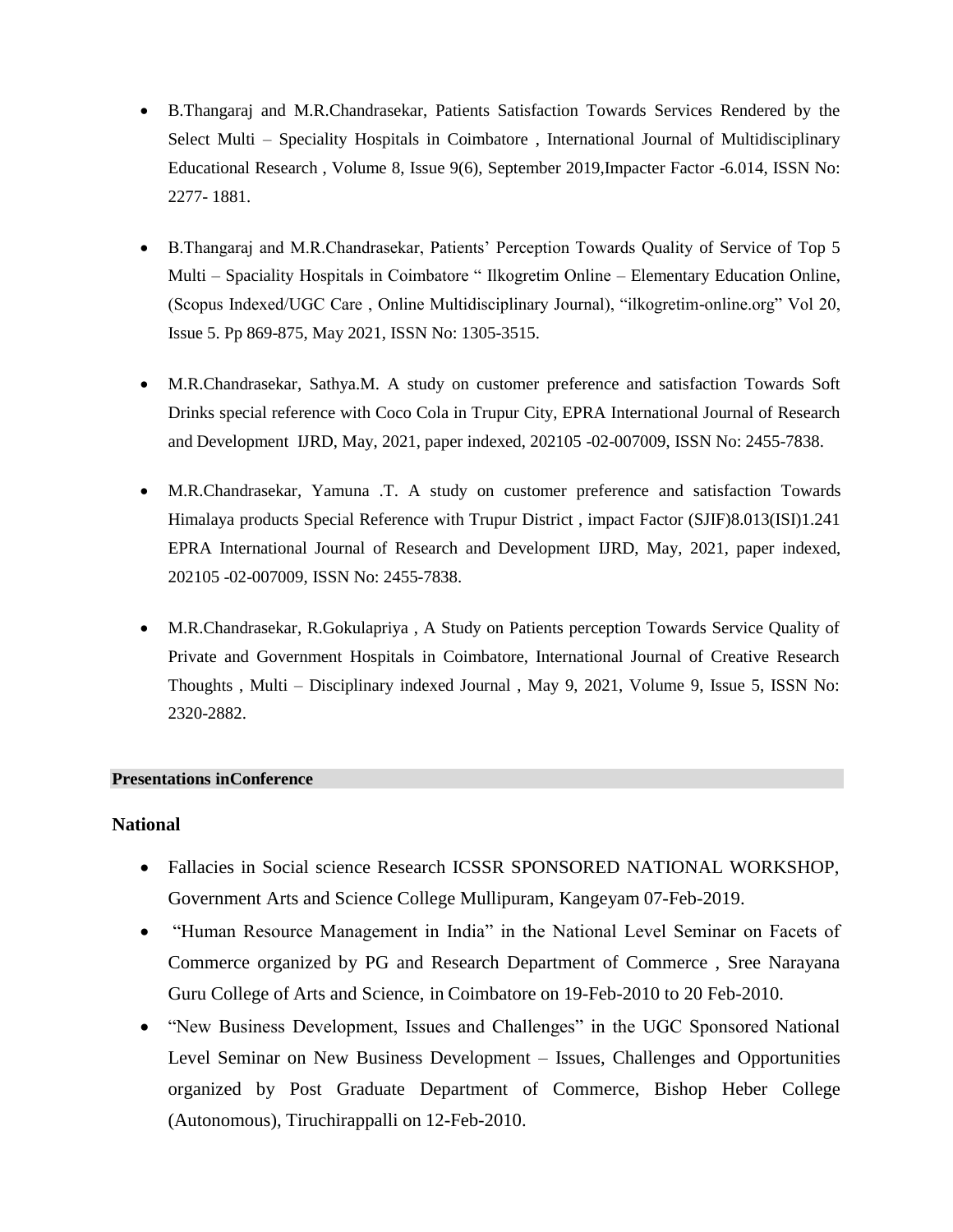- B.Thangaraj and M.R.Chandrasekar, Patients Satisfaction Towards Services Rendered by the Select Multi – Speciality Hospitals in Coimbatore , International Journal of Multidisciplinary Educational Research , Volume 8, Issue 9(6), September 2019,Impacter Factor -6.014, ISSN No: 2277- 1881.
- B.Thangaraj and M.R.Chandrasekar, Patients' Perception Towards Quality of Service of Top 5 Multi – Spaciality Hospitals in Coimbatore " Ilkogretim Online – Elementary Education Online, (Scopus Indexed/UGC Care , Online Multidisciplinary Journal), "ilkogretim-online.org" Vol 20, Issue 5. Pp 869-875, May 2021, ISSN No: 1305-3515.
- M.R.Chandrasekar, Sathya.M. A study on customer preference and satisfaction Towards Soft Drinks special reference with Coco Cola in Trupur City, EPRA International Journal of Research and Development IJRD, May, 2021, paper indexed, 202105 -02-007009, ISSN No: 2455-7838.
- M.R.Chandrasekar, Yamuna .T. A study on customer preference and satisfaction Towards Himalaya products Special Reference with Trupur District , impact Factor (SJIF)8.013(ISI)1.241 EPRA International Journal of Research and Development IJRD, May, 2021, paper indexed, 202105 -02-007009, ISSN No: 2455-7838.
- M.R.Chandrasekar, R.Gokulapriya , A Study on Patients perception Towards Service Quality of Private and Government Hospitals in Coimbatore, International Journal of Creative Research Thoughts , Multi – Disciplinary indexed Journal , May 9, 2021, Volume 9, Issue 5, ISSN No: 2320-2882.

## **Presentations inConference**

# **National**

- Fallacies in Social science Research ICSSR SPONSORED NATIONAL WORKSHOP, Government Arts and Science College Mullipuram, Kangeyam 07-Feb-2019.
- "Human Resource Management in India" in the National Level Seminar on Facets of Commerce organized by PG and Research Department of Commerce , Sree Narayana Guru College of Arts and Science, in Coimbatore on 19-Feb-2010 to 20 Feb-2010.
- "New Business Development, Issues and Challenges" in the UGC Sponsored National Level Seminar on New Business Development – Issues, Challenges and Opportunities organized by Post Graduate Department of Commerce, Bishop Heber College (Autonomous), Tiruchirappalli on 12-Feb-2010.